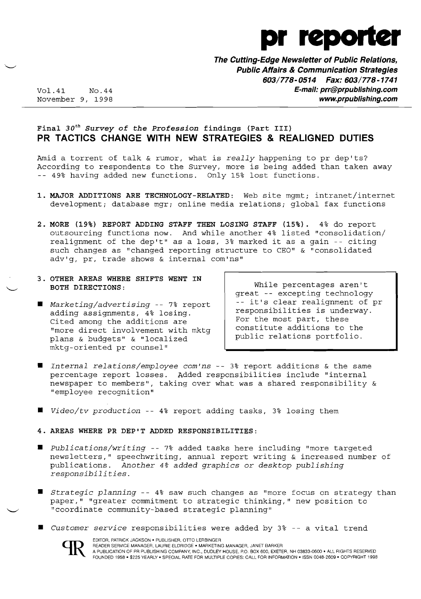

**The Cutting-Edge Newsletter of Public Relations, Public Affairs & Communication Strategies 603/778-0514 Fax: 603/778-1741**  Vol.41 No.44 **E-mail: prr@prpublishing.com**  www.prpublishing.com

## Final  $30<sup>th</sup>$  Survey of the Profession findings (Part III) **PR TACTICS CHANGE WITH NEW STRATEGIES & REALIGNED DUTIES**

Amid a torrent of talk & rumor, what is *really* happening to pr dep'ts? According to respondents to the Survey, more is being added than taken away 49% having added new functions. Only 15% lost functions.

- **1. MAJOR ADDITIONS ARE TECHNOLOGY-RELATED:** Web site mgmt; intranet/internet development; database mgr; online media relations; global fax functions
- **2. MORE (19%) REPORT ADDING STAFF THEN LOSING STAFF (15%).** 4% do report outsourcing functions now. And while another 4% listed "consolidation/ realignment of the dep't" as a loss, 3% marked it as a gain -- citing such changes as "changed reporting structure to CEO" & "consolidated adv'g, pr, trade shows & internal com'ns"
- **3. OTHER AREAS WHERE SHIFTS WENT IN BOTH DIRECTIONS:**
- *• Marketing/advertising* -- 7% report adding assignments, 4% losing. Cited among the additions are "more direct involvement with mktg plans & budgets" & "localized mktg-oriented pr counsel"

While percentages aren't great -- excepting technology -- it's clear realignment of pr responsibilities is underway. For the most part, these constitute additions to the public relations portfolio.

- *• Internal relations/employee com'ns*  3% report additions & the same percentage report losses. Added responsibilities include "internal newspaper to members", taking over what was a shared responsibility & "employee recognition"
- *Video/tv production* -- 4% report adding tasks, 3% losing them
- **4. AREAS WHERE PR DEP'T ADDED RESPONSIBILITIES:**
- *• Publications/writing* -- 7% added tasks here including "more targeted newsletters," speechwriting, annual report writing & increased number of publications. *Another* 4% *added graphics* or *desktop publishing responsibilities.*
- *• Strategic planning* -- 4% saw such changes as "more focus on strategy than paper," "greater commitment to strategic thinking," new position to "coordinate community-based strategic planning"
- *• Customer service* responsibilities were added by 3% -- a vital trend

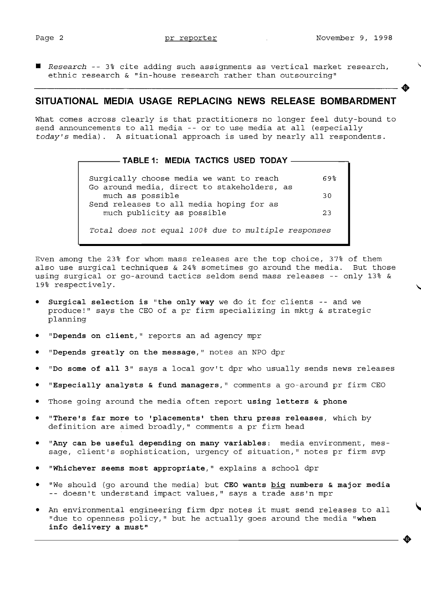$\blacksquare$  Research -- 3% cite adding such assignments as vertical market research, ethnic research & "in-house research rather than outsourcing"

## **SITUATIONAL MEDIA USAGE REPLACING NEWS RELEASE BOMBARDMENT**

What comes across clearly is that practitioners no longer feel duty-bound to send announcements to all media -- or to use media at all (especially *today's* media). A situational approach is used by nearly all respondents .

#### $-$  TABLE 1: MEDIA TACTICS USED TODAY  $-$

Surgically choose media we want to reach 69% Go around media, direct to stakeholders, as much as possible 30 Send releases to all media hoping for as much publicity as possible 23 *Total does* not *equal 100% due* to *multiple responses* 

Even among the 23% for whom mass releases are the top choice, 37% of them also use surgical techniques & 24% sometimes go around the media. But those using surgical or go-around tactics seldom send mass releases -- only 13% & 19% respectively.

- Surgical selection is "the only way we do it for clients -- and we produce!" says the CEO of a pr firm specializing in mktg & strategic planning
- "Depends on client," reports an ad agency mpr
- "Depends greatly on the message," notes an NPO dpr
- "Do some of all 3" says a local gov't dpr who usually sends news releases
- "Especially analysts & fund managers," comments a qo-around pr firm CEO
- Those going around the media often report using letters  $\boldsymbol{\epsilon}$  phone
- "There's far more to 'placements' then thru press releases, which by definition are aimed broadly," comments a pr firm head
- "Any can be useful depending on many variables: media environment, message, client's sophistication, urgency of situation," notes pr firm svp
- "Whichever seems most appropriate," explains a school dpr
- "We should (go around the media) but CEO wants big numbers & major media -- doesn't understand impact values," says a trade ass'n mpr
- An environmental engineering firm dpr notes it must send releases to all "due to openness policy, " but he actually goes around the media "when info delivery a must"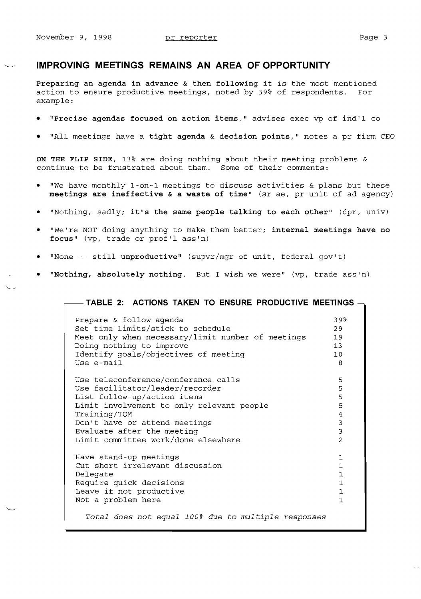### **IMPROVING MEETINGS REMAINS AN AREA OF OPPORTUNITY**

**Preparing an agenda in advance & then following it** is the most mentioned action to ensure productive meetings, noted by 39% of respondents. For example:

- **• "Precise agendas focused on action items,"** advises exec vp of ind'l co
- "All meetings have a tight agenda & decision points," notes a pr firm CEO

**ON THE FLIP SIDE,** 13% are doing nothing about their meeting problems & continue to be frustrated about them. Some of their comments:

- "We have monthly 1-on-1 meetings to discuss activities & plans but these **meetings are ineffective & a waste of time"** (sr ae, pr unit of ad agency)
- • "Nothing, sadly; **it's the same people talking to each other"** (dpr, univ)
- "We're NOT doing anything to make them better; internal meetings have no focus" (vp, trade or prof'l ass'n)
- "None -- still unproductive" (supvr/mgr of unit, federal gov't)
- **• "Nothing, absolutely nothing.** But I wish we were" (vp, trade ass'n)

#### **TABLE 2: ACTIONS TAKEN TO ENSURE PRODUCTIVE MEETINGS**

| Prepare & follow agenda                                                                                                                                                                                  | 39 <sup>8</sup>                                                                            |
|----------------------------------------------------------------------------------------------------------------------------------------------------------------------------------------------------------|--------------------------------------------------------------------------------------------|
| Set time limits/stick to schedule                                                                                                                                                                        | 29                                                                                         |
| Meet only when necessary/limit number of meetings                                                                                                                                                        | 19                                                                                         |
| Doing nothing to improve                                                                                                                                                                                 | 13                                                                                         |
| Identify qoals/objectives of meeting                                                                                                                                                                     | 10                                                                                         |
| Use e-mail                                                                                                                                                                                               | 8                                                                                          |
| Use teleconference/conference calls                                                                                                                                                                      | 5                                                                                          |
| Use facilitator/leader/recorder                                                                                                                                                                          | 5                                                                                          |
| List follow-up/action items                                                                                                                                                                              | 5                                                                                          |
| Limit involvement to only relevant people                                                                                                                                                                | 5                                                                                          |
| Training/TQM                                                                                                                                                                                             | 4                                                                                          |
| Don't have or attend meetings                                                                                                                                                                            | 3                                                                                          |
| Evaluate after the meeting                                                                                                                                                                               | 3                                                                                          |
| Limit committee work/done elsewhere                                                                                                                                                                      | $\overline{2}$                                                                             |
| Have stand-up meetings<br>Cut short irrelevant discussion<br>Delegate<br>Require quick decisions<br>Leave if not productive<br>Not a problem here<br>Total does not equal 100% due to multiple responses | $\mathbf{1}$<br>$\mathbf{1}$<br>$\mathbf 1$<br>$\mathbf 1$<br>$\mathbf{1}$<br>$\mathbf{1}$ |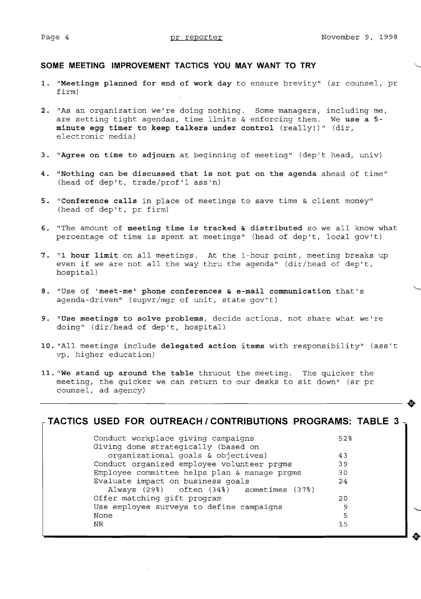◍

#### **SOME MEETING IMPROVEMENT TACTICS YOU MAY WANT TO TRY**

- **1. "Meetings planned for end of work day** to ensure brevity" (sr counsel, pr firm)
- **2.** "As an organization we're doing nothing. Some managers, including me, are setting tight agendas, time limits & enforcing them. We **use a 5 minute egg timer to keep talkers under control** (really!)" (dir, electronic media)
- **3. "Agree on time to adjourn** at beginning of meeting" (dep't head, univ)
- **4. "Nothing can be discussed that is not put on the agenda** ahead of time" (head of dep't, trade/prof'l ass'n)
- **5. "Conference calls** in place of meetings to save time & client money" (head of dep't, pr firm)
- **6.** "The amount of **meeting time is tracked & distributed** so we all know what percentage of time is spent at meetings" (head of dep't, local gov't)
- **7. "1 hour limit** on all meetings. At the 1-hour point, meeting breaks up even if we are not all the way thru the agenda" (dir/head of dep't, hospital)
- **8.** "Use of **'meet-me' phone conferences & e-mail communication** that's agenda-driven" (supvr/mgr of unit, state gov't)
- **9. "Use meetings to solve problems,** decide actions, not share what we're doing" (dir/head of dep't, hospital)
- **10.** "All meetings include **delegated action items** with responsibility" (ass't vp, higher education)
- **11. "We stand up around the table** thruout the meeting. The quicker the meeting, the quicker we can return to our desks to sit down" (sr pr counsel, ad agency)

| $\overline{ }$ TACTICS USED FOR OUTREACH / CONTRIBUTIONS PROGRAMS: TABLE 3 $\overline{ }$ |     |
|-------------------------------------------------------------------------------------------|-----|
| Conduct workplace giving campaigns<br>Giving done strategically (based on                 | 52% |
| organizational goals & objectives)                                                        | 43  |
| Conduct organized employee volunteer prgms                                                | 39  |
| Employee committee helps plan & manage prgms                                              | 30  |
| Evaluate impact on business goals<br>Always (29%) often (34%) sometimes (37%)             | 24  |
| Offer matching gift program                                                               | 20  |
| Use employee surveys to define campaigns                                                  | 9   |
| None                                                                                      | 5   |
| NR.                                                                                       | 15  |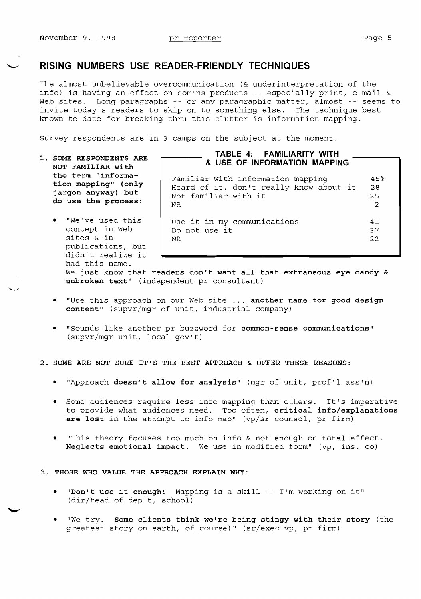## **RISING NUMBERS USE READER-FRIENDLY TECHNIQUES**

The almost unbelievable overcommunication (& underinterpretation of the info) is having an effect on com'ns products -- especially print, e-mail & Web sites. Long paragraphs -- or any paragraphic matter, almost -- seems to invite today's readers to skip on to something else. The technique best known to date for breaking thru this clutter is information mapping.

Survey respondents are in 3 camps on the subject at the moment:

- **1. SOME RESPONDENTS ARE NOT FAMILIAR with the term "information mapping" (only jargon anyway) but do use the process:** 
	- "We've used this concept in Web sites & in publications, but didn't realize it had this name.

# **TABLE 4: FAMILIARITY WITH & USE OF INFORMATION MAPPING**

Familiar with information mapping 45% Heard of it, don't really know about it 28 Heald Of It, don't feally know about It 26<br>Not familiar with it 25 NR  $\sim$  2

Use it in my communications  $41$ <br>Do not use it  $37$ Do not use it 37<br>NR 32 NR  $\sim$  22

We just know that **readers don't want all that extraneous eye candy & unbroken text"** (independent pr consultant)

- "Use this approach on our Web site ... another name for good design **content"** (supvr/mgr of unit, industrial company)
- • "Sounds like another pr buzzword for **common-sense communications"**  (supvr/mgr unit, local gov't)

#### **2. SOME ARE NOT SURE IT'S THE BEST APPROACH & OFFER THESE REASONS:**

- • "Approach **doesn't allow for analysis"** (mgr of unit, prof'l ass'n)
- • Some audiences require less info mapping than others. It's imperative to provide what audiences need. Too often, **critical info/explanations are lost** in the attempt to info map" (vp/sr counsel, pr firm)
- "This theory focuses too much on info & not enough on total effect. **Neglects emotional impact.** We use in modified form" (vp, ins. co)

#### **3. THOSE WHO VALUE THE APPROACH EXPLAIN WHY:**

- "Don't use it enough! Mapping is a skill -- I'm working on it" (dir/head of dep't, school)
- We try. Some clients think we're being stingy with their story (the greatest story on earth, of course)" (sr/exec vp, pr firm)